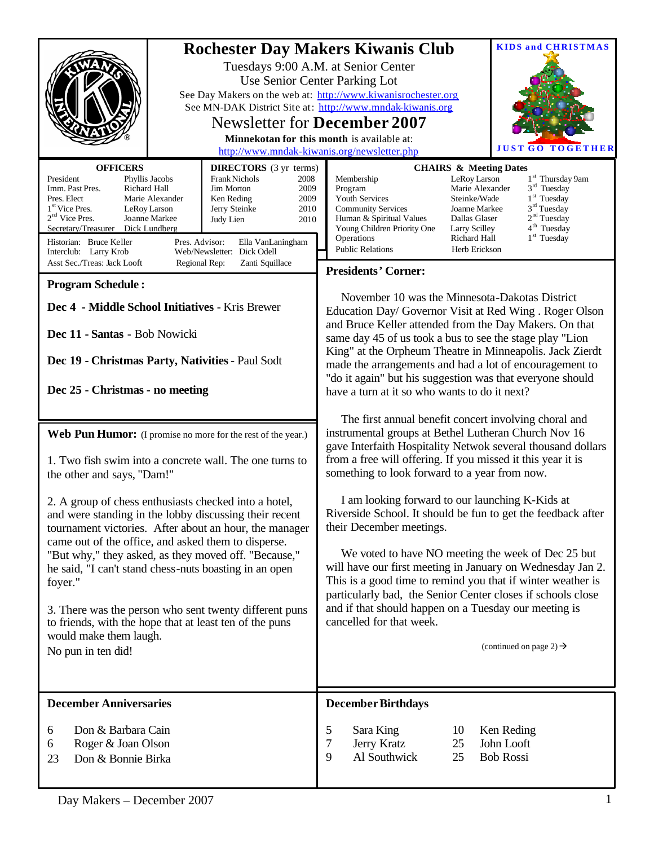| <b>OFFICERS</b><br><b>DIRECTORS</b> (3 yr terms)<br>President<br><b>Frank Nichols</b><br>Phyllis Jacobs<br>2008<br>Imm. Past Pres.<br>Richard Hall<br><b>Jim Morton</b><br>2009<br>Pres. Elect<br>Marie Alexander<br>2009<br>Ken Reding<br>1 <sup>st</sup> Vice Pres.<br>2010<br>LeRoy Larson<br>Jerry Steinke<br>$2nd$ Vice Pres.<br>Joanne Markee<br>Judy Lien<br>2010<br>Secretary/Treasurer<br>Dick Lundberg<br>Historian: Bruce Keller<br>Pres. Advisor:<br>Ella VanLaningham                                                                                                                                                                                                          | <b>KIDS and CHRISTMAS</b><br><b>Rochester Day Makers Kiwanis Club</b><br>Tuesdays 9:00 A.M. at Senior Center<br>Use Senior Center Parking Lot<br>See Day Makers on the web at: http://www.kiwanisrochester.org<br>See MN-DAK District Site at: http://www.mndak-kiwanis.org<br><b>Newsletter for December 2007</b><br>Minnekotan for this month is available at:<br><b>JUST GO TOGE</b><br>http://www.mndak-kiwanis.org/newsletter.php<br><b>CHAIRS &amp; Meeting Dates</b><br>Membership<br>1 <sup>st</sup> Thursday 9am<br>LeRoy Larson<br>$3rd$ Tuesday<br>Program<br>Marie Alexander<br>1 <sup>st</sup> Tuesday<br><b>Youth Services</b><br>Steinke/Wade<br>3 <sup>rd</sup> Tuesday<br><b>Community Services</b><br>Joanne Markee<br>2 <sup>nd</sup> Tuesday<br>Human & Spiritual Values<br>Dallas Glaser<br>4 <sup>th</sup> Tuesday<br>Young Children Priority One<br>Larry Scilley<br>$1st$ Tuesday<br>Operations<br>Richard Hall |  |  |
|---------------------------------------------------------------------------------------------------------------------------------------------------------------------------------------------------------------------------------------------------------------------------------------------------------------------------------------------------------------------------------------------------------------------------------------------------------------------------------------------------------------------------------------------------------------------------------------------------------------------------------------------------------------------------------------------|-----------------------------------------------------------------------------------------------------------------------------------------------------------------------------------------------------------------------------------------------------------------------------------------------------------------------------------------------------------------------------------------------------------------------------------------------------------------------------------------------------------------------------------------------------------------------------------------------------------------------------------------------------------------------------------------------------------------------------------------------------------------------------------------------------------------------------------------------------------------------------------------------------------------------------------------|--|--|
| Web/Newsletter: Dick Odell<br>Interclub: Larry Krob<br>Asst Sec./Treas: Jack Looft<br>Zanti Squillace<br>Regional Rep:                                                                                                                                                                                                                                                                                                                                                                                                                                                                                                                                                                      | <b>Public Relations</b><br>Herb Erickson                                                                                                                                                                                                                                                                                                                                                                                                                                                                                                                                                                                                                                                                                                                                                                                                                                                                                                |  |  |
|                                                                                                                                                                                                                                                                                                                                                                                                                                                                                                                                                                                                                                                                                             | <b>Presidents' Corner:</b>                                                                                                                                                                                                                                                                                                                                                                                                                                                                                                                                                                                                                                                                                                                                                                                                                                                                                                              |  |  |
| <b>Program Schedule:</b><br>Dec 4 - Middle School Initiatives - Kris Brewer<br>Dec 11 - Santas - Bob Nowicki<br>Dec 19 - Christmas Party, Nativities - Paul Sodt<br>Dec 25 - Christmas - no meeting                                                                                                                                                                                                                                                                                                                                                                                                                                                                                         | November 10 was the Minnesota-Dakotas District<br>Education Day/ Governor Visit at Red Wing . Roger Olson<br>and Bruce Keller attended from the Day Makers. On that<br>same day 45 of us took a bus to see the stage play "Lion<br>King" at the Orpheum Theatre in Minneapolis. Jack Zierdt<br>made the arrangements and had a lot of encouragement to<br>"do it again" but his suggestion was that everyone should<br>have a turn at it so who wants to do it next?                                                                                                                                                                                                                                                                                                                                                                                                                                                                    |  |  |
|                                                                                                                                                                                                                                                                                                                                                                                                                                                                                                                                                                                                                                                                                             | The first annual benefit concert involving choral and                                                                                                                                                                                                                                                                                                                                                                                                                                                                                                                                                                                                                                                                                                                                                                                                                                                                                   |  |  |
| Web Pun Humor: (I promise no more for the rest of the year.)<br>1. Two fish swim into a concrete wall. The one turns to<br>the other and says, "Dam!"<br>2. A group of chess enthusiasts checked into a hotel,<br>and were standing in the lobby discussing their recent<br>tournament victories. After about an hour, the manager<br>came out of the office, and asked them to disperse.<br>"But why," they asked, as they moved off. "Because,"<br>he said, "I can't stand chess-nuts boasting in an open<br>foyer."<br>3. There was the person who sent twenty different puns<br>to friends, with the hope that at least ten of the puns<br>would make them laugh.<br>No pun in ten did! | instrumental groups at Bethel Lutheran Church Nov 16<br>gave Interfaith Hospitality Netwok several thousand dollars<br>from a free will offering. If you missed it this year it is<br>something to look forward to a year from now.<br>I am looking forward to our launching K-Kids at<br>Riverside School. It should be fun to get the feedback after<br>their December meetings.<br>We voted to have NO meeting the week of Dec 25 but<br>will have our first meeting in January on Wednesday Jan 2.<br>This is a good time to remind you that if winter weather is<br>particularly bad, the Senior Center closes if schools close<br>and if that should happen on a Tuesday our meeting is<br>cancelled for that week.<br>(continued on page 2) $\rightarrow$                                                                                                                                                                        |  |  |
| <b>December Anniversaries</b>                                                                                                                                                                                                                                                                                                                                                                                                                                                                                                                                                                                                                                                               | <b>December Birthdays</b>                                                                                                                                                                                                                                                                                                                                                                                                                                                                                                                                                                                                                                                                                                                                                                                                                                                                                                               |  |  |
| Don & Barbara Cain<br>6<br>Roger & Joan Olson<br>6<br>Don & Bonnie Birka<br>23                                                                                                                                                                                                                                                                                                                                                                                                                                                                                                                                                                                                              | 5<br>Sara King<br>Ken Reding<br>10<br>7<br>Jerry Kratz<br>John Looft<br>25<br>9<br>Al Southwick<br>25<br><b>Bob Rossi</b>                                                                                                                                                                                                                                                                                                                                                                                                                                                                                                                                                                                                                                                                                                                                                                                                               |  |  |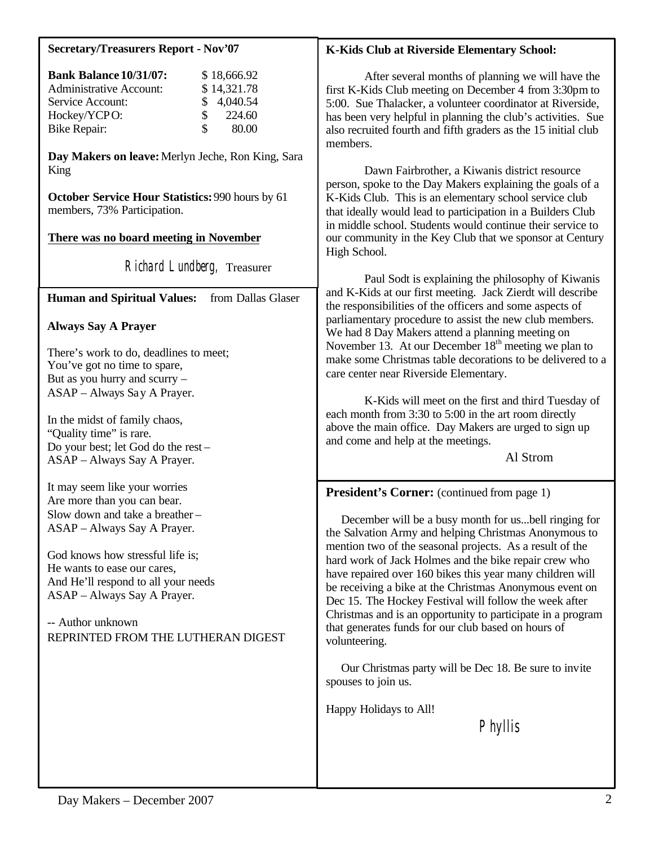#### **Secretary/Treasurers Report - Nov'07**

| <b>Bank Balance 10/31/07:</b>  |    | \$18,666.92 |
|--------------------------------|----|-------------|
| <b>Administrative Account:</b> |    | \$14,321.78 |
| Service Account:               |    | \$4,040.54  |
| Hockey/YCPO:                   | £. | 224.60      |
| Bike Repair:                   | £. | 80.00       |

**Day Makers on leave:** Merlyn Jeche, Ron King, Sara King

**October Service Hour Statistics:** 990 hours by 61 members, 73% Participation.

## **There was no board meeting in November**

Richard Lundberg, Treasurer

**Human and Spiritual Values:** from Dallas Glaser

#### **Always Say A Prayer**

There's work to do, deadlines to meet; You've got no time to spare, But as you hurry and scurry – ASAP – Always Say A Prayer.

In the midst of family chaos, "Quality time" is rare. Do your best; let God do the rest – ASAP – Always Say A Prayer.

It may seem like your worries Are more than you can bear. Slow down and take a breather – ASAP – Always Say A Prayer.

God knows how stressful life is; He wants to ease our cares, And He'll respond to all your needs ASAP – Always Say A Prayer.

-- Author unknown REPRINTED FROM THE LUTHERAN DIGEST

### **K-Kids Club at Riverside Elementary School:**

After several months of planning we will have the first K-Kids Club meeting on December 4 from 3:30pm to 5:00. Sue Thalacker, a volunteer coordinator at Riverside, has been very helpful in planning the club's activities. Sue also recruited fourth and fifth graders as the 15 initial club members.

Dawn Fairbrother, a Kiwanis district resource person, spoke to the Day Makers explaining the goals of a K-Kids Club. This is an elementary school service club that ideally would lead to participation in a Builders Club in middle school. Students would continue their service to our community in the Key Club that we sponsor at Century High School.

Paul Sodt is explaining the philosophy of Kiwanis and K-Kids at our first meeting. Jack Zierdt will describe the responsibilities of the officers and some aspects of parliamentary procedure to assist the new club members. We had 8 Day Makers attend a planning meeting on November 13. At our December  $18<sup>th</sup>$  meeting we plan to make some Christmas table decorations to be delivered to a care center near Riverside Elementary.

K-Kids will meet on the first and third Tuesday of each month from 3:30 to 5:00 in the art room directly above the main office. Day Makers are urged to sign up and come and help at the meetings.

Al Strom

## **President's Corner:** (continued from page 1)

 December will be a busy month for us...bell ringing for the Salvation Army and helping Christmas Anonymous to mention two of the seasonal projects. As a result of the hard work of Jack Holmes and the bike repair crew who have repaired over 160 bikes this year many children will be receiving a bike at the Christmas Anonymous event on Dec 15. The Hockey Festival will follow the week after Christmas and is an opportunity to participate in a program that generates funds for our club based on hours of volunteering.

 Our Christmas party will be Dec 18. Be sure to invite spouses to join us.

Happy Holidays to All!

Phyllis

 $\overline{a}$